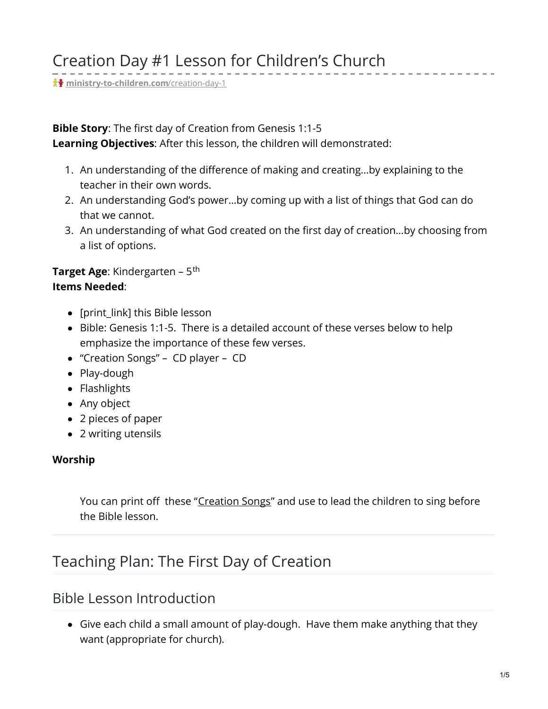# Creation Day #1 Lesson for Children's Church

**t+** [ministry-to-children.com](https://ministry-to-children.com/creation-day-1/)/creation-day-1

#### **Bible Story**: The first day of Creation from Genesis 1:1-5

**Learning Objectives**: After this lesson, the children will demonstrated:

- 1. An understanding of the difference of making and creating…by explaining to the teacher in their own words.
- 2. An understanding God's power…by coming up with a list of things that God can do that we cannot.
- 3. An understanding of what God created on the first day of creation…by choosing from a list of options.

### **Target Age**: Kindergarten – 5<sup>th</sup> **Items Needed**:

- [print\_link] this Bible lesson
- Bible: Genesis 1:1-5. There is a detailed account of these verses below to help emphasize the importance of these few verses.
- "Creation Songs" CD player CD
- Play-dough
- Flashlights
- Any object
- 2 pieces of paper
- 2 writing utensils

#### **Worship**

You can print off these "[Creation](https://ministry-to-children.com/creation-songs/) Songs" and use to lead the children to sing before the Bible lesson.

# Teaching Plan: The First Day of Creation

# Bible Lesson Introduction

Give each child a small amount of play-dough. Have them make anything that they want (appropriate for church).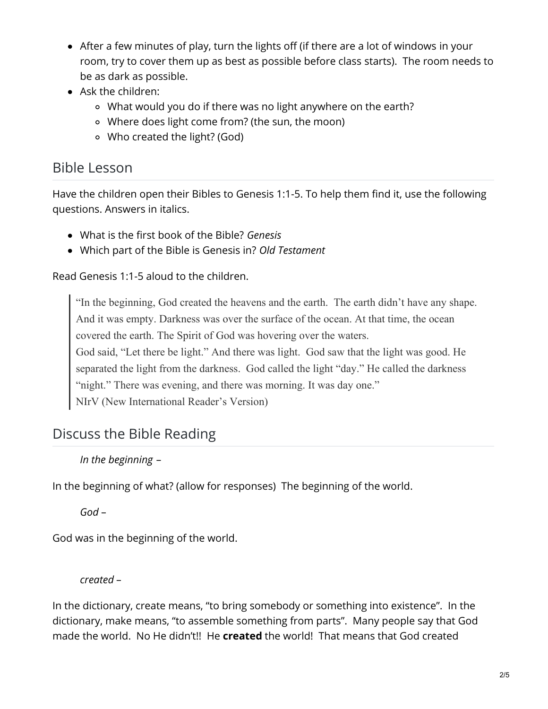- After a few minutes of play, turn the lights off (if there are a lot of windows in your room, try to cover them up as best as possible before class starts). The room needs to be as dark as possible.
- Ask the children:
	- What would you do if there was no light anywhere on the earth?
	- Where does light come from? (the sun, the moon)
	- Who created the light? (God)

# Bible Lesson

Have the children open their Bibles to Genesis 1:1-5. To help them find it, use the following questions. Answers in italics.

- What is the first book of the Bible? *Genesis*
- Which part of the Bible is Genesis in? *Old Testament*

Read Genesis 1:1-5 aloud to the children.

"In the beginning, God created the heavens and the earth. The earth didn't have any shape. And it was empty. Darkness was over the surface of the ocean. At that time, the ocean covered the earth. The Spirit of God was hovering over the waters. God said, "Let there be light." And there was light. God saw that the light was good. He separated the light from the darkness. God called the light "day." He called the darkness "night." There was evening, and there was morning. It was day one." NIrV (New International Reader's Version)

# Discuss the Bible Reading

*In the beginning* –

In the beginning of what? (allow for responses) The beginning of the world.

*God* –

God was in the beginning of the world.

*created* –

In the dictionary, create means, "to bring somebody or something into existence". In the dictionary, make means, "to assemble something from parts". Many people say that God made the world. No He didn't!! He **created** the world! That means that God created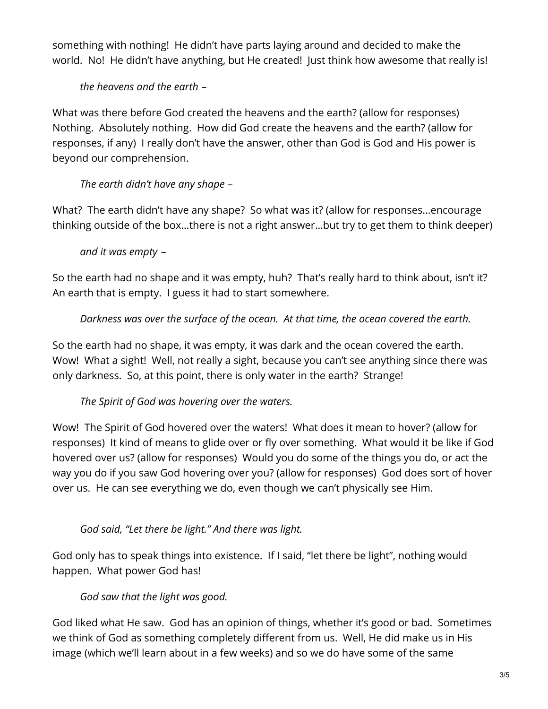something with nothing! He didn't have parts laying around and decided to make the world. No! He didn't have anything, but He created! Just think how awesome that really is!

*the heavens and the earth* –

What was there before God created the heavens and the earth? (allow for responses) Nothing. Absolutely nothing. How did God create the heavens and the earth? (allow for responses, if any) I really don't have the answer, other than God is God and His power is beyond our comprehension.

# *The earth didn't have any shape* –

What? The earth didn't have any shape? So what was it? (allow for responses…encourage thinking outside of the box…there is not a right answer…but try to get them to think deeper)

# *and it was empty* –

So the earth had no shape and it was empty, huh? That's really hard to think about, isn't it? An earth that is empty. I guess it had to start somewhere.

*Darkness was over the surface of the ocean. At that time, the ocean covered the earth.*

So the earth had no shape, it was empty, it was dark and the ocean covered the earth. Wow! What a sight! Well, not really a sight, because you can't see anything since there was only darkness. So, at this point, there is only water in the earth? Strange!

# *The Spirit of God was hovering over the waters.*

Wow! The Spirit of God hovered over the waters! What does it mean to hover? (allow for responses) It kind of means to glide over or fly over something. What would it be like if God hovered over us? (allow for responses) Would you do some of the things you do, or act the way you do if you saw God hovering over you? (allow for responses) God does sort of hover over us. He can see everything we do, even though we can't physically see Him.

# *God said, "Let there be light." And there was light.*

God only has to speak things into existence. If I said, "let there be light", nothing would happen. What power God has!

# *God saw that the light was good.*

God liked what He saw. God has an opinion of things, whether it's good or bad. Sometimes we think of God as something completely different from us. Well, He did make us in His image (which we'll learn about in a few weeks) and so we do have some of the same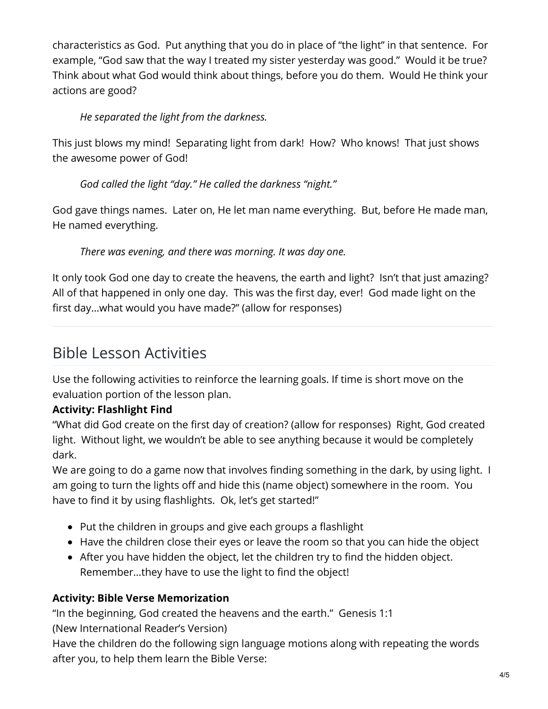characteristics as God. Put anything that you do in place of "the light" in that sentence. For example, "God saw that the way I treated my sister yesterday was good." Would it be true? Think about what God would think about things, before you do them. Would He think your actions are good?

*He separated the light from the darkness.*

This just blows my mind! Separating light from dark! How? Who knows! That just shows the awesome power of God!

*God called the light "day." He called the darkness "night."*

God gave things names. Later on, He let man name everything. But, before He made man, He named everything.

*There was evening, and there was morning. It was day one.*

It only took God one day to create the heavens, the earth and light? Isn't that just amazing? All of that happened in only one day. This was the first day, ever! God made light on the first day…what would you have made?" (allow for responses)

# Bible Lesson Activities

Use the following activities to reinforce the learning goals. If time is short move on the evaluation portion of the lesson plan.

# **Activity: Flashlight Find**

"What did God create on the first day of creation? (allow for responses) Right, God created light. Without light, we wouldn't be able to see anything because it would be completely dark.

We are going to do a game now that involves finding something in the dark, by using light. I am going to turn the lights off and hide this (name object) somewhere in the room. You have to find it by using flashlights. Ok, let's get started!"

- Put the children in groups and give each groups a flashlight
- Have the children close their eyes or leave the room so that you can hide the object
- After you have hidden the object, let the children try to find the hidden object. Remember…they have to use the light to find the object!

# **Activity: Bible Verse Memorization**

"In the beginning, God created the heavens and the earth." Genesis 1:1

(New International Reader's Version)

Have the children do the following sign language motions along with repeating the words after you, to help them learn the Bible Verse: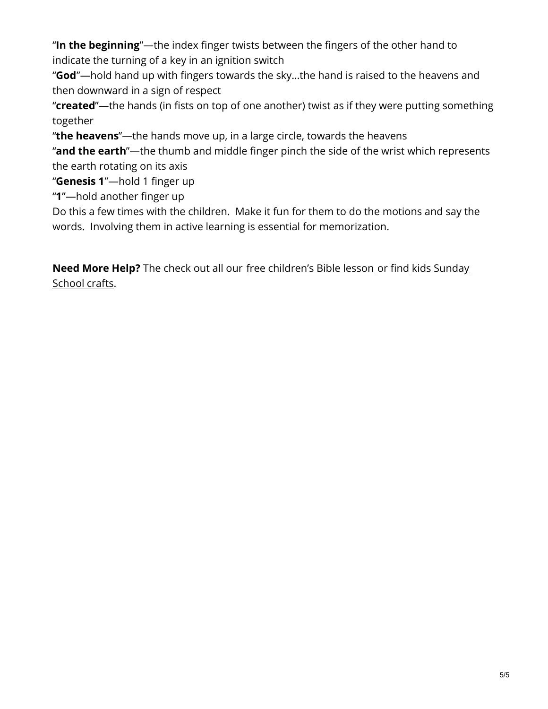"**In the beginning**"—the index finger twists between the fingers of the other hand to indicate the turning of a key in an ignition switch

"**God**"—hold hand up with fingers towards the sky…the hand is raised to the heavens and then downward in a sign of respect

"**created**"—the hands (in fists on top of one another) twist as if they were putting something together

"**the heavens**"—the hands move up, in a large circle, towards the heavens

"**and the earth**"—the thumb and middle finger pinch the side of the wrist which represents the earth rotating on its axis

"**Genesis 1**"—hold 1 finger up

"**1**"—hold another finger up

Do this a few times with the children. Make it fun for them to do the motions and say the words. Involving them in active learning is essential for memorization.

**Need More Help?** The check out all our free [children's](https://ministry-to-children.com/lessons/) Bible lesson or find kids Sunday School crafts.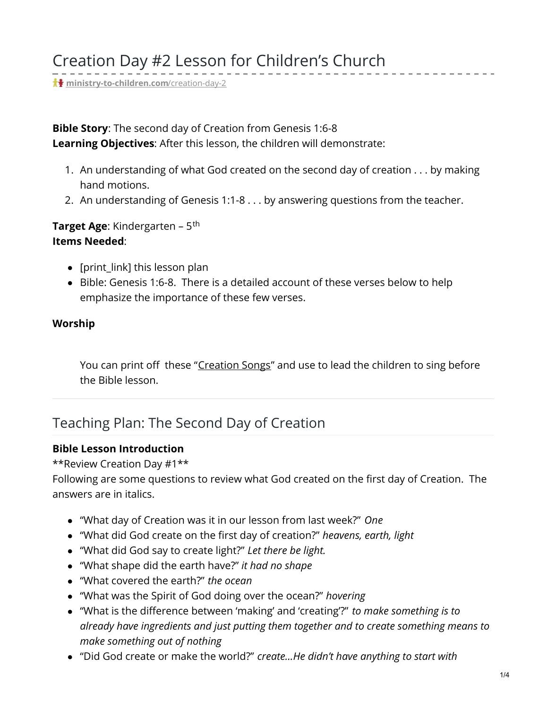# Creation Day #2 Lesson for Children's Church

**t+** [ministry-to-children.com](https://ministry-to-children.com/creation-day-2/)/creation-day-2

# **Bible Story**: The second day of Creation from Genesis 1:6-8

**Learning Objectives**: After this lesson, the children will demonstrate:

- 1. An understanding of what God created on the second day of creation . . . by making hand motions.
- 2. An understanding of Genesis 1:1-8 . . . by answering questions from the teacher.

### **Target Age**: Kindergarten – 5<sup>th</sup> **Items Needed**:

- $\bullet$  [print\_link] this lesson plan
- Bible: Genesis 1:6-8. There is a detailed account of these verses below to help emphasize the importance of these few verses.

#### **Worship**

You can print off these "[Creation](https://ministry-to-children.com/creation-songs/) Songs" and use to lead the children to sing before the Bible lesson.

# Teaching Plan: The Second Day of Creation

#### **Bible Lesson Introduction**

#### \*\*Review Creation Day #1\*\*

Following are some questions to review what God created on the first day of Creation. The answers are in italics.

- "What day of Creation was it in our lesson from last week?" *One*
- "What did God create on the first day of creation?" *heavens, earth, light*
- "What did God say to create light?" *Let there be light.*
- "What shape did the earth have?" *it had no shape*
- "What covered the earth?" *the ocean*
- "What was the Spirit of God doing over the ocean?" *hovering*
- "What is the difference between 'making' and 'creating'?" *to make something is to already have ingredients and just putting them together and to create something means to make something out of nothing*
- "Did God create or make the world?" *create…He didn't have anything to start with*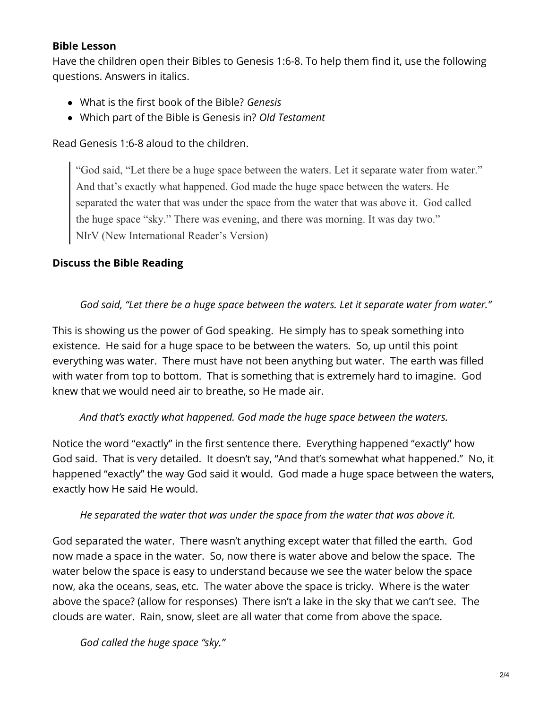### **Bible Lesson**

Have the children open their Bibles to Genesis 1:6-8. To help them find it, use the following questions. Answers in italics.

- What is the first book of the Bible? *Genesis*
- Which part of the Bible is Genesis in? *Old Testament*

Read Genesis 1:6-8 aloud to the children.

"God said, "Let there be a huge space between the waters. Let it separate water from water." And that's exactly what happened. God made the huge space between the waters. He separated the water that was under the space from the water that was above it. God called the huge space "sky." There was evening, and there was morning. It was day two." NIrV (New International Reader's Version)

### **Discuss the Bible Reading**

### *God said, "Let there be a huge space between the waters. Let it separate water from water."*

This is showing us the power of God speaking. He simply has to speak something into existence. He said for a huge space to be between the waters. So, up until this point everything was water. There must have not been anything but water. The earth was filled with water from top to bottom. That is something that is extremely hard to imagine. God knew that we would need air to breathe, so He made air.

#### *And that's exactly what happened. God made the huge space between the waters.*

Notice the word "exactly" in the first sentence there. Everything happened "exactly" how God said. That is very detailed. It doesn't say, "And that's somewhat what happened." No, it happened "exactly" the way God said it would. God made a huge space between the waters, exactly how He said He would.

#### *He separated the water that was under the space from the water that was above it.*

God separated the water. There wasn't anything except water that filled the earth. God now made a space in the water. So, now there is water above and below the space. The water below the space is easy to understand because we see the water below the space now, aka the oceans, seas, etc. The water above the space is tricky. Where is the water above the space? (allow for responses) There isn't a lake in the sky that we can't see. The clouds are water. Rain, snow, sleet are all water that come from above the space.

*God called the huge space "sky."*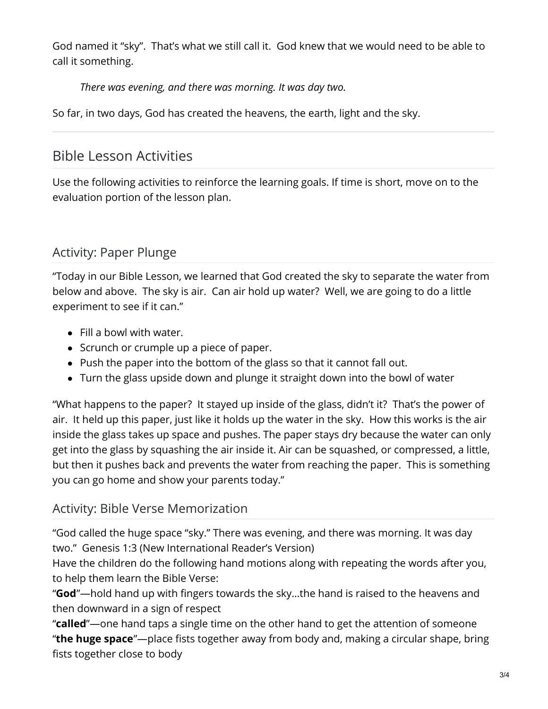God named it "sky". That's what we still call it. God knew that we would need to be able to call it something.

*There was evening, and there was morning. It was day two.*

So far, in two days, God has created the heavens, the earth, light and the sky.

# Bible Lesson Activities

Use the following activities to reinforce the learning goals. If time is short, move on to the evaluation portion of the lesson plan.

# Activity: Paper Plunge

"Today in our Bible Lesson, we learned that God created the sky to separate the water from below and above. The sky is air. Can air hold up water? Well, we are going to do a little experiment to see if it can."

- Fill a bowl with water.
- Scrunch or crumple up a piece of paper.
- Push the paper into the bottom of the glass so that it cannot fall out.
- Turn the glass upside down and plunge it straight down into the bowl of water

"What happens to the paper? It stayed up inside of the glass, didn't it? That's the power of air. It held up this paper, just like it holds up the water in the sky. How this works is the air inside the glass takes up space and pushes. The paper stays dry because the water can only get into the glass by squashing the air inside it. Air can be squashed, or compressed, a little, but then it pushes back and prevents the water from reaching the paper. This is something you can go home and show your parents today."

# Activity: Bible Verse Memorization

"God called the huge space "sky." There was evening, and there was morning. It was day two." Genesis 1:3 (New International Reader's Version)

Have the children do the following hand motions along with repeating the words after you, to help them learn the Bible Verse:

"**God**"—hold hand up with fingers towards the sky…the hand is raised to the heavens and then downward in a sign of respect

"**called**"—one hand taps a single time on the other hand to get the attention of someone "**the huge space**"—place fists together away from body and, making a circular shape, bring fists together close to body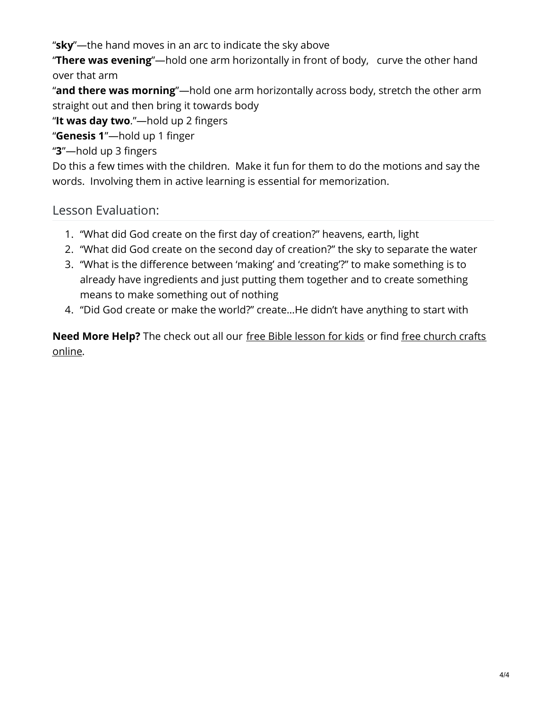"**sky**"—the hand moves in an arc to indicate the sky above

"**There was evening**"—hold one arm horizontally in front of body, curve the other hand over that arm

"**and there was morning**"—hold one arm horizontally across body, stretch the other arm straight out and then bring it towards body

"**It was day two**."—hold up 2 fingers

"**Genesis 1**"—hold up 1 finger

"**3**"—hold up 3 fingers

Do this a few times with the children. Make it fun for them to do the motions and say the words. Involving them in active learning is essential for memorization.

# Lesson Evaluation:

- 1. "What did God create on the first day of creation?" heavens, earth, light
- 2. "What did God create on the second day of creation?" the sky to separate the water
- 3. "What is the difference between 'making' and 'creating'?" to make something is to already have ingredients and just putting them together and to create something means to make something out of nothing
- 4. "Did God create or make the world?" create…He didn't have anything to start with

**Need More Help?** The check out all our free Bible [lesson](https://ministry-to-children.com/lessons/) for kids or find free [church](https://ministry-to-children.com/sunday-school-crafts/) crafts online.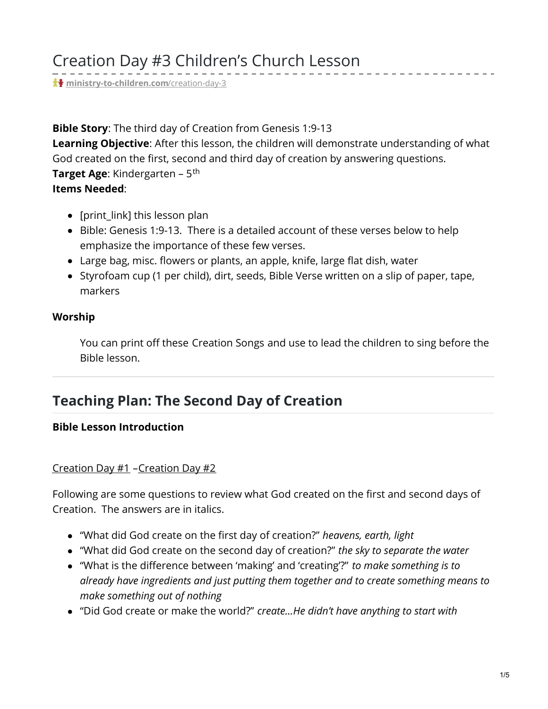# Creation Day #3 Children's Church Lesson

**t+** [ministry-to-children.com](https://ministry-to-children.com/creation-day-3/)/creation-day-3

**Bible Story**: The third day of Creation from Genesis 1:9-13

**Learning Objective**: After this lesson, the children will demonstrate understanding of what God created on the first, second and third day of creation by answering questions. **Target Age**: Kindergarten – 5<sup>th</sup>

# **Items Needed**:

- $\bullet$  [print\_link] this lesson plan
- Bible: Genesis 1:9-13. There is a detailed account of these verses below to help emphasize the importance of these few verses.
- Large bag, misc. flowers or plants, an apple, knife, large flat dish, water
- Styrofoam cup (1 per child), dirt, seeds, Bible Verse written on a slip of paper, tape, markers

#### **Worship**

You can print off these Creation Songs and use to lead the children to sing before the Bible lesson.

# **Teaching Plan: The Second Day of Creation**

#### **Bible Lesson Introduction**

#### [Creation](https://ministry-to-children.com/creation-day-1/) Day #1 [–Creation](https://ministry-to-children.com/creation-day-2/) Day #2

Following are some questions to review what God created on the first and second days of Creation. The answers are in italics.

- "What did God create on the first day of creation?" *heavens, earth, light*
- "What did God create on the second day of creation?" *the sky to separate the water*
- "What is the difference between 'making' and 'creating'?" *to make something is to already have ingredients and just putting them together and to create something means to make something out of nothing*
- "Did God create or make the world?" *create…He didn't have anything to start with*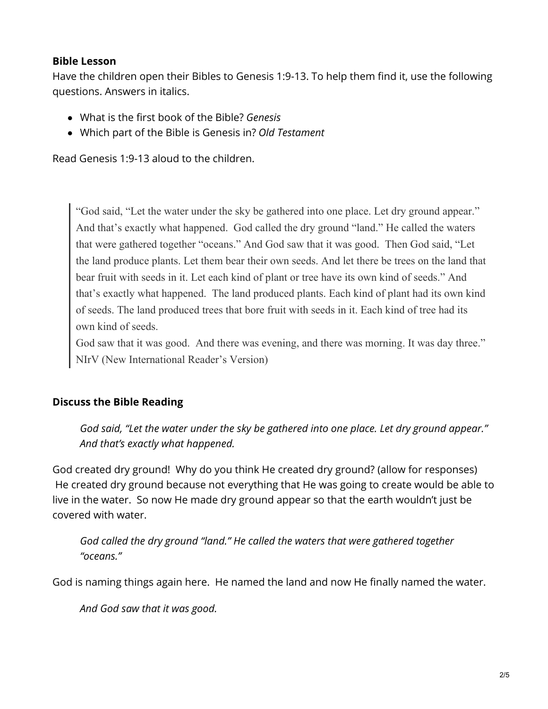#### **Bible Lesson**

Have the children open their Bibles to Genesis 1:9-13. To help them find it, use the following questions. Answers in italics.

- What is the first book of the Bible? *Genesis*
- Which part of the Bible is Genesis in? *Old Testament*

Read Genesis 1:9-13 aloud to the children.

"God said, "Let the water under the sky be gathered into one place. Let dry ground appear." And that's exactly what happened. God called the dry ground "land." He called the waters that were gathered together "oceans." And God saw that it was good. Then God said, "Let the land produce plants. Let them bear their own seeds. And let there be trees on the land that bear fruit with seeds in it. Let each kind of plant or tree have its own kind of seeds." And that's exactly what happened. The land produced plants. Each kind of plant had its own kind of seeds. The land produced trees that bore fruit with seeds in it. Each kind of tree had its own kind of seeds.

God saw that it was good. And there was evening, and there was morning. It was day three." NIrV (New International Reader's Version)

### **Discuss the Bible Reading**

*God said, "Let the water under the sky be gathered into one place. Let dry ground appear." And that's exactly what happened.*

God created dry ground! Why do you think He created dry ground? (allow for responses) He created dry ground because not everything that He was going to create would be able to live in the water. So now He made dry ground appear so that the earth wouldn't just be covered with water.

*God called the dry ground "land." He called the waters that were gathered together "oceans."*

God is naming things again here. He named the land and now He finally named the water.

*And God saw that it was good.*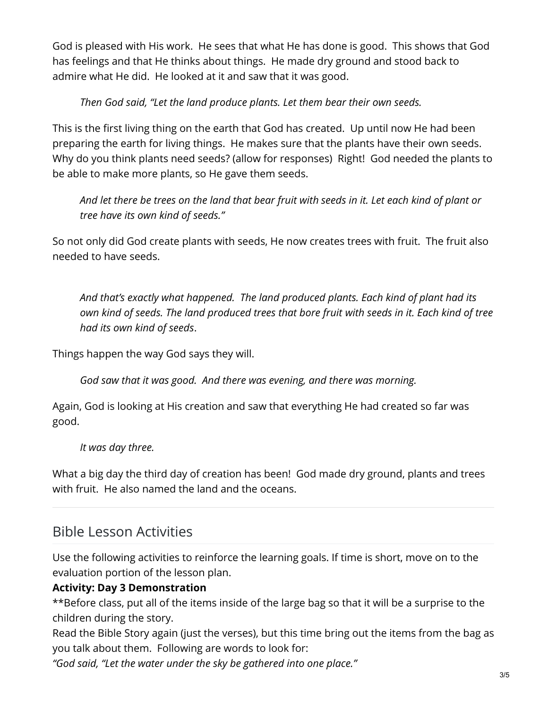God is pleased with His work. He sees that what He has done is good. This shows that God has feelings and that He thinks about things. He made dry ground and stood back to admire what He did. He looked at it and saw that it was good.

*Then God said, "Let the land produce plants. Let them bear their own seeds.*

This is the first living thing on the earth that God has created. Up until now He had been preparing the earth for living things. He makes sure that the plants have their own seeds. Why do you think plants need seeds? (allow for responses) Right! God needed the plants to be able to make more plants, so He gave them seeds.

And let there be trees on the land that bear fruit with seeds in it. Let each kind of plant or *tree have its own kind of seeds."*

So not only did God create plants with seeds, He now creates trees with fruit. The fruit also needed to have seeds.

*And that's exactly what happened. The land produced plants. Each kind of plant had its* own kind of seeds. The land produced trees that bore fruit with seeds in it. Each kind of tree *had its own kind of seeds*.

Things happen the way God says they will.

*God saw that it was good. And there was evening, and there was morning.*

Again, God is looking at His creation and saw that everything He had created so far was good.

*It was day three.*

What a big day the third day of creation has been! God made dry ground, plants and trees with fruit. He also named the land and the oceans.

# Bible Lesson Activities

Use the following activities to reinforce the learning goals. If time is short, move on to the evaluation portion of the lesson plan.

# **Activity: Day 3 Demonstration**

\*\*Before class, put all of the items inside of the large bag so that it will be a surprise to the children during the story.

Read the Bible Story again (just the verses), but this time bring out the items from the bag as you talk about them. Following are words to look for:

*"God said, "Let the water under the sky be gathered into one place."*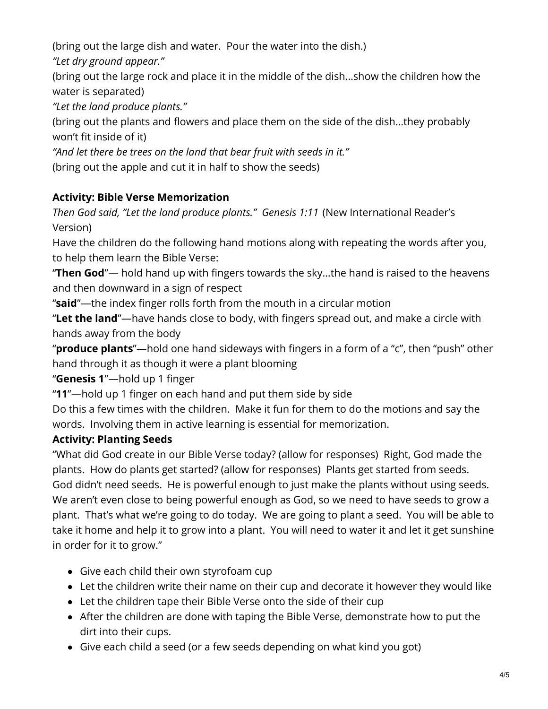(bring out the large dish and water. Pour the water into the dish.)

*"Let dry ground appear."*

(bring out the large rock and place it in the middle of the dish…show the children how the water is separated)

*"Let the land produce plants."*

(bring out the plants and flowers and place them on the side of the dish…they probably won't fit inside of it)

*"And let there be trees on the land that bear fruit with seeds in it."*

(bring out the apple and cut it in half to show the seeds)

# **Activity: Bible Verse Memorization**

*Then God said, "Let the land produce plants." Genesis 1:11* (New International Reader's Version)

Have the children do the following hand motions along with repeating the words after you, to help them learn the Bible Verse:

"**Then God**"— hold hand up with fingers towards the sky…the hand is raised to the heavens and then downward in a sign of respect

"**said**"—the index finger rolls forth from the mouth in a circular motion

"**Let the land**"—have hands close to body, with fingers spread out, and make a circle with hands away from the body

"**produce plants**"—hold one hand sideways with fingers in a form of a "c", then "push" other hand through it as though it were a plant blooming

"**Genesis 1**"—hold up 1 finger

"**11**"—hold up 1 finger on each hand and put them side by side

Do this a few times with the children. Make it fun for them to do the motions and say the words. Involving them in active learning is essential for memorization.

# **Activity: Planting Seeds**

"What did God create in our Bible Verse today? (allow for responses) Right, God made the plants. How do plants get started? (allow for responses) Plants get started from seeds. God didn't need seeds. He is powerful enough to just make the plants without using seeds. We aren't even close to being powerful enough as God, so we need to have seeds to grow a plant. That's what we're going to do today. We are going to plant a seed. You will be able to take it home and help it to grow into a plant. You will need to water it and let it get sunshine in order for it to grow."

- Give each child their own styrofoam cup
- Let the children write their name on their cup and decorate it however they would like
- Let the children tape their Bible Verse onto the side of their cup
- After the children are done with taping the Bible Verse, demonstrate how to put the dirt into their cups.
- Give each child a seed (or a few seeds depending on what kind you got)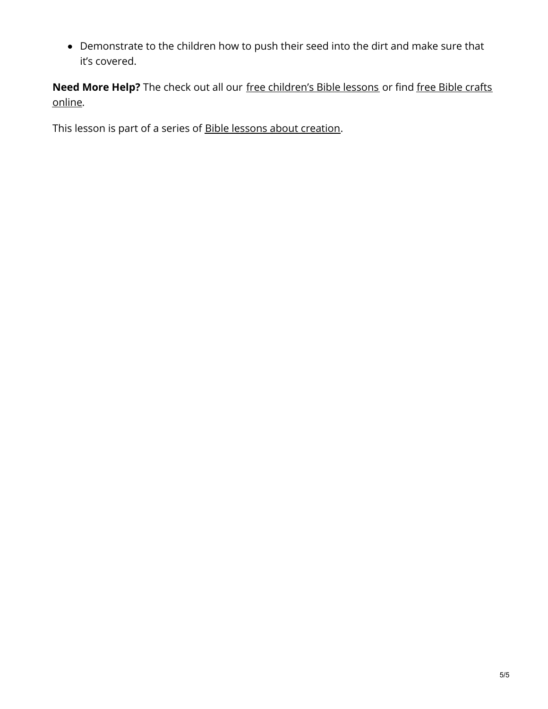Demonstrate to the children how to push their seed into the dirt and make sure that it's covered.

**Need More Help?** The check out all our free [children's](https://ministry-to-children.com/sunday-school-crafts/) Bible lessons or find free Bible crafts online.

This lesson is part of a series of Bible lessons about [creation](https://ministry-to-children.com/lessons/#creation).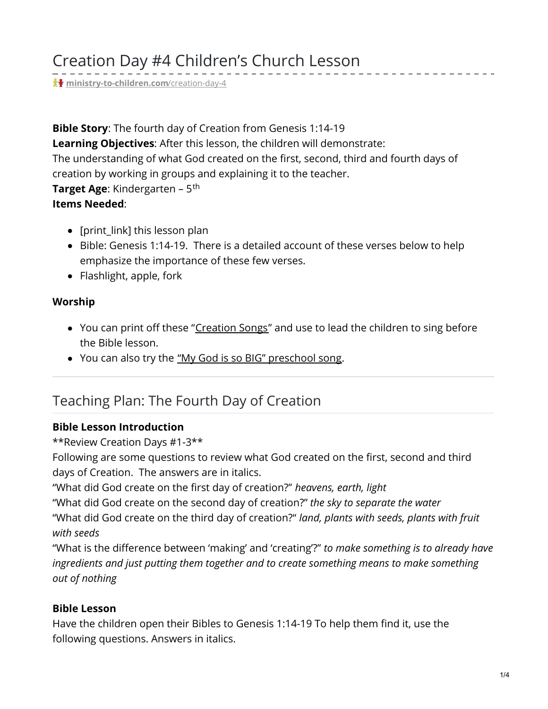# Creation Day #4 Children's Church Lesson

 $\frac{1}{1}$  **[ministry-to-children.com](https://ministry-to-children.com/creation-day-4/)**/creation-day-4

**Bible Story**: The fourth day of Creation from Genesis 1:14-19 **Learning Objectives**: After this lesson, the children will demonstrate: The understanding of what God created on the first, second, third and fourth days of creation by working in groups and explaining it to the teacher. **Target Age**: Kindergarten – 5<sup>th</sup> **Items Needed**:

- $\bullet$  [print\_link] this lesson plan
- Bible: Genesis 1:14-19. There is a detailed account of these verses below to help emphasize the importance of these few verses.
- Flashlight, apple, fork

#### **Worship**

- You can print off these "[Creation](https://ministry-to-children.com/creation-songs/) Songs" and use to lead the children to sing before the Bible lesson.
- You can also try the "My God is so BIG" [preschool](https://ministry-to-children.com/my-god-is-so-big-song/) song.

# Teaching Plan: The Fourth Day of Creation

#### **Bible Lesson Introduction**

\*\*Review Creation Days #1-3\*\*

Following are some questions to review what God created on the first, second and third days of Creation. The answers are in italics.

"What did God create on the first day of creation?" *heavens, earth, light*

"What did God create on the second day of creation?" *the sky to separate the water*

"What did God create on the third day of creation?" *land, plants with seeds, plants with fruit with seeds*

"What is the difference between 'making' and 'creating'?" *to make something is to already have ingredients and just putting them together and to create something means to make something out of nothing*

#### **Bible Lesson**

Have the children open their Bibles to Genesis 1:14-19 To help them find it, use the following questions. Answers in italics.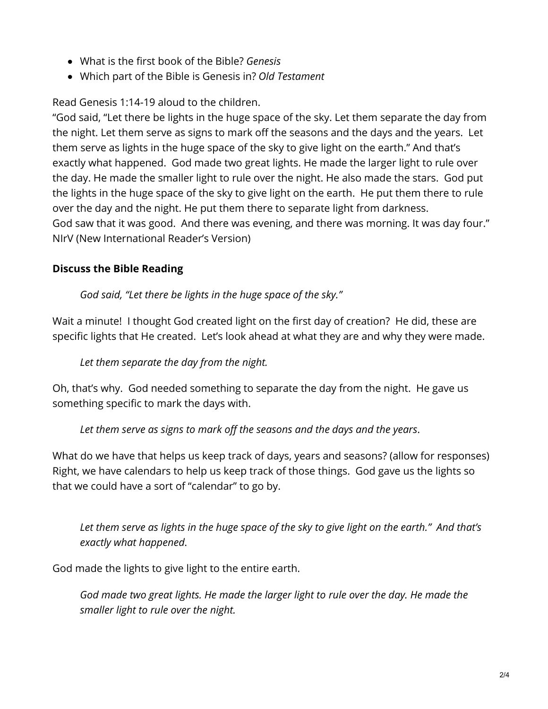- What is the first book of the Bible? *Genesis*
- Which part of the Bible is Genesis in? *Old Testament*

Read Genesis 1:14-19 aloud to the children.

"God said, "Let there be lights in the huge space of the sky. Let them separate the day from the night. Let them serve as signs to mark off the seasons and the days and the years. Let them serve as lights in the huge space of the sky to give light on the earth." And that's exactly what happened. God made two great lights. He made the larger light to rule over the day. He made the smaller light to rule over the night. He also made the stars. God put the lights in the huge space of the sky to give light on the earth. He put them there to rule over the day and the night. He put them there to separate light from darkness. God saw that it was good. And there was evening, and there was morning. It was day four." NIrV (New International Reader's Version)

# **Discuss the Bible Reading**

*God said, "Let there be lights in the huge space of the sky."*

Wait a minute! I thought God created light on the first day of creation? He did, these are specific lights that He created. Let's look ahead at what they are and why they were made.

*Let them separate the day from the night.*

Oh, that's why. God needed something to separate the day from the night. He gave us something specific to mark the days with.

*Let them serve as signs to mark off the seasons and the days and the years*.

What do we have that helps us keep track of days, years and seasons? (allow for responses) Right, we have calendars to help us keep track of those things. God gave us the lights so that we could have a sort of "calendar" to go by.

Let them serve as lights in the huge space of the sky to give light on the earth." And that's *exactly what happened*.

God made the lights to give light to the entire earth.

*God made two great lights. He made the larger light to rule over the day. He made the smaller light to rule over the night.*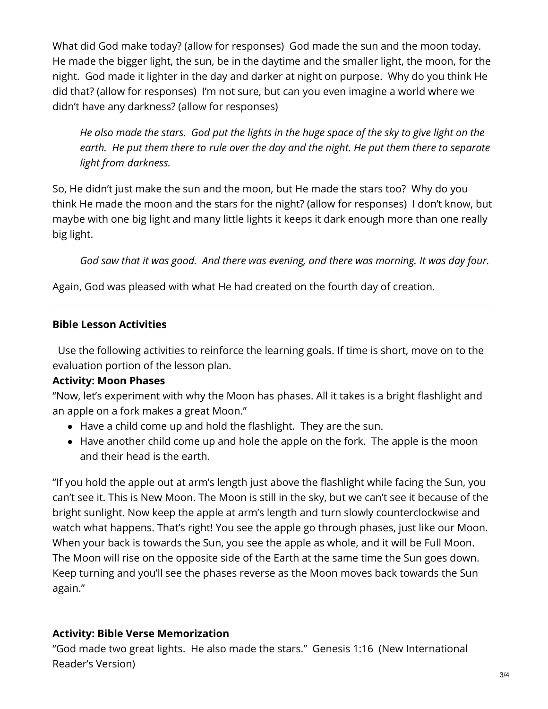What did God make today? (allow for responses) God made the sun and the moon today. He made the bigger light, the sun, be in the daytime and the smaller light, the moon, for the night. God made it lighter in the day and darker at night on purpose. Why do you think He did that? (allow for responses) I'm not sure, but can you even imagine a world where we didn't have any darkness? (allow for responses)

He also made the stars. God put the lights in the huge space of the sky to give light on the *earth. He put them there to rule over the day and the night. He put them there to separate light from darkness.*

So, He didn't just make the sun and the moon, but He made the stars too? Why do you think He made the moon and the stars for the night? (allow for responses) I don't know, but maybe with one big light and many little lights it keeps it dark enough more than one really big light.

*God saw that it was good. And there was evening, and there was morning. It was day four.*

Again, God was pleased with what He had created on the fourth day of creation.

### **Bible Lesson Activities**

Use the following activities to reinforce the learning goals. If time is short, move on to the evaluation portion of the lesson plan.

### **Activity: Moon Phases**

"Now, let's experiment with why the Moon has phases. All it takes is a bright flashlight and an apple on a fork makes a great Moon."

- Have a child come up and hold the flashlight. They are the sun.
- Have another child come up and hole the apple on the fork. The apple is the moon and their head is the earth.

"If you hold the apple out at arm's length just above the flashlight while facing the Sun, you can't see it. This is New Moon. The Moon is still in the sky, but we can't see it because of the bright sunlight. Now keep the apple at arm's length and turn slowly counterclockwise and watch what happens. That's right! You see the apple go through phases, just like our Moon. When your back is towards the Sun, you see the apple as whole, and it will be Full Moon. The Moon will rise on the opposite side of the Earth at the same time the Sun goes down. Keep turning and you'll see the phases reverse as the Moon moves back towards the Sun again."

### **Activity: Bible Verse Memorization**

"God made two great lights. He also made the stars." Genesis 1:16 (New International Reader's Version)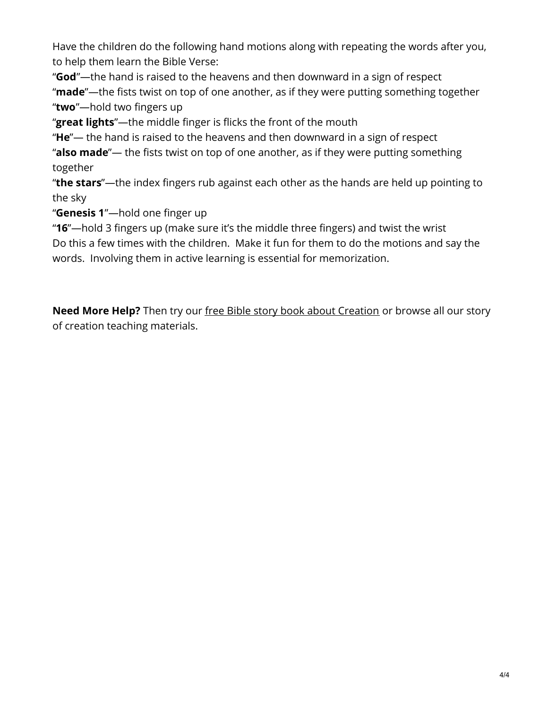Have the children do the following hand motions along with repeating the words after you, to help them learn the Bible Verse:

"**God**"—the hand is raised to the heavens and then downward in a sign of respect "**made**"—the fists twist on top of one another, as if they were putting something together "**two**"—hold two fingers up

"**great lights**"—the middle finger is flicks the front of the mouth

"**He**"— the hand is raised to the heavens and then downward in a sign of respect

"**also made**"— the fists twist on top of one another, as if they were putting something together

"**the stars**"—the index fingers rub against each other as the hands are held up pointing to the sky

"**Genesis 1**"—hold one finger up

"**16**"—hold 3 fingers up (make sure it's the middle three fingers) and twist the wrist Do this a few times with the children. Make it fun for them to do the motions and say the words. Involving them in active learning is essential for memorization.

**Need More Help?** Then try our free Bible story book about [Creation](https://ministry-to-children.com/creation-bible-story/) or browse all our story of creation teaching materials.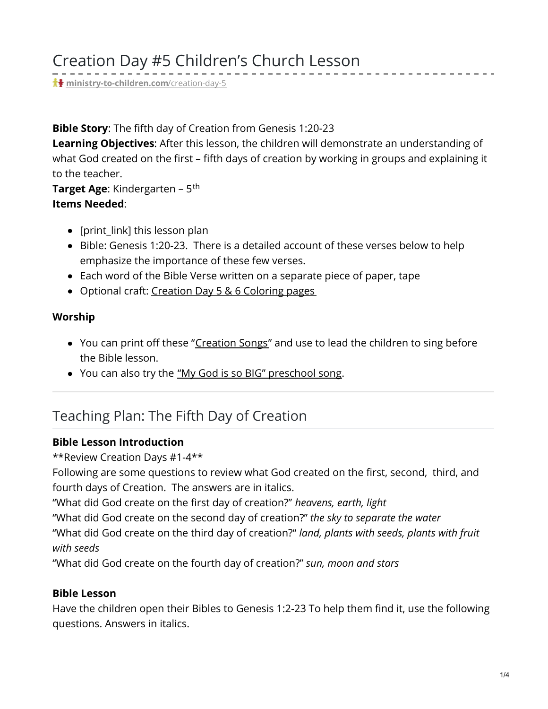# Creation Day #5 Children's Church Lesson

**t+** [ministry-to-children.com](https://ministry-to-children.com/creation-day-5/)/creation-day-5

**Bible Story**: The fifth day of Creation from Genesis 1:20-23

**Learning Objectives**: After this lesson, the children will demonstrate an understanding of what God created on the first – fifth days of creation by working in groups and explaining it to the teacher.

**Target Age**: Kindergarten – 5<sup>th</sup> **Items Needed**:

- $\bullet$  [print\_link] this lesson plan
- Bible: Genesis 1:20-23. There is a detailed account of these verses below to help emphasize the importance of these few verses.
- Each word of the Bible Verse written on a separate piece of paper, tape
- Optional craft: [Creation](https://ministry-to-children.com/creation-days-5-and-6-coloring-page/) Day 5 & 6 Coloring pages

### **Worship**

- You can print off these "[Creation](https://ministry-to-children.com/creation-songs/) Songs" and use to lead the children to sing before the Bible lesson.
- You can also try the "My God is so BIG" [preschool](https://ministry-to-children.com/my-god-is-so-big-song/) song.

# Teaching Plan: The Fifth Day of Creation

#### **Bible Lesson Introduction**

\*\*Review Creation Days #1-4\*\*

Following are some questions to review what God created on the first, second, third, and fourth days of Creation. The answers are in italics.

"What did God create on the first day of creation?" *heavens, earth, light*

"What did God create on the second day of creation?" *the sky to separate the water*

"What did God create on the third day of creation?" *land, plants with seeds, plants with fruit with seeds*

"What did God create on the fourth day of creation?" *sun, moon and stars*

### **Bible Lesson**

Have the children open their Bibles to Genesis 1:2-23 To help them find it, use the following questions. Answers in italics.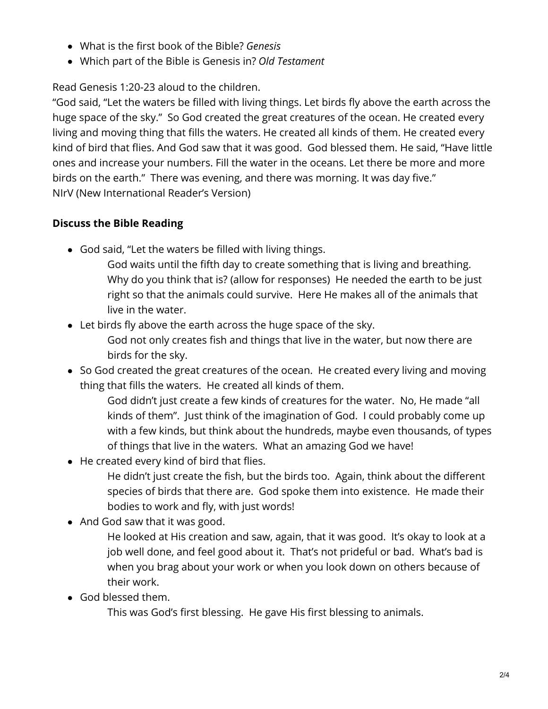- What is the first book of the Bible? *Genesis*
- Which part of the Bible is Genesis in? *Old Testament*

Read Genesis 1:20-23 aloud to the children.

"God said, "Let the waters be filled with living things. Let birds fly above the earth across the huge space of the sky." So God created the great creatures of the ocean. He created every living and moving thing that fills the waters. He created all kinds of them. He created every kind of bird that flies. And God saw that it was good. God blessed them. He said, "Have little ones and increase your numbers. Fill the water in the oceans. Let there be more and more birds on the earth." There was evening, and there was morning. It was day five." NIrV (New International Reader's Version)

# **Discuss the Bible Reading**

- God said, "Let the waters be filled with living things.
	- God waits until the fifth day to create something that is living and breathing. Why do you think that is? (allow for responses) He needed the earth to be just right so that the animals could survive. Here He makes all of the animals that live in the water.
- Let birds fly above the earth across the huge space of the sky.
	- God not only creates fish and things that live in the water, but now there are birds for the sky.
- So God created the great creatures of the ocean. He created every living and moving thing that fills the waters. He created all kinds of them.
	- God didn't just create a few kinds of creatures for the water. No, He made "all kinds of them". Just think of the imagination of God. I could probably come up with a few kinds, but think about the hundreds, maybe even thousands, of types of things that live in the waters. What an amazing God we have!
- He created every kind of bird that flies.
	- He didn't just create the fish, but the birds too. Again, think about the different species of birds that there are. God spoke them into existence. He made their bodies to work and fly, with just words!
- And God saw that it was good.
	- He looked at His creation and saw, again, that it was good. It's okay to look at a job well done, and feel good about it. That's not prideful or bad. What's bad is when you brag about your work or when you look down on others because of their work.
- God blessed them.
	- This was God's first blessing. He gave His first blessing to animals.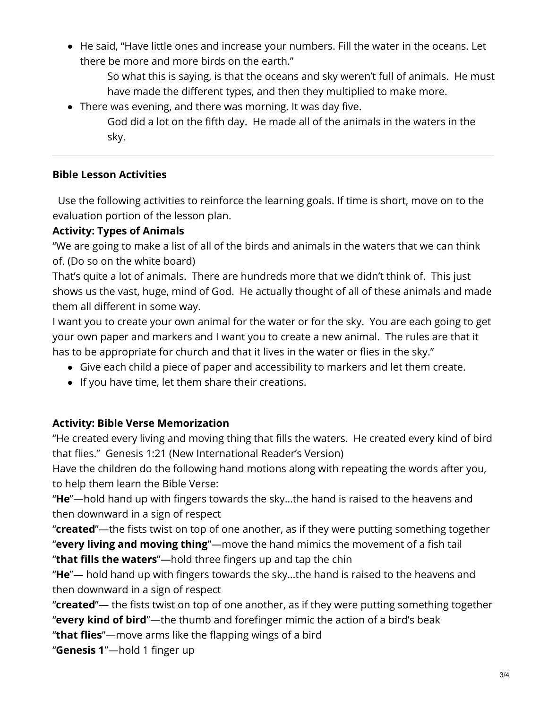He said, "Have little ones and increase your numbers. Fill the water in the oceans. Let there be more and more birds on the earth."

So what this is saying, is that the oceans and sky weren't full of animals. He must have made the different types, and then they multiplied to make more.

There was evening, and there was morning. It was day five.

God did a lot on the fifth day. He made all of the animals in the waters in the sky.

### **Bible Lesson Activities**

Use the following activities to reinforce the learning goals. If time is short, move on to the evaluation portion of the lesson plan.

### **Activity: Types of Animals**

"We are going to make a list of all of the birds and animals in the waters that we can think of. (Do so on the white board)

That's quite a lot of animals. There are hundreds more that we didn't think of. This just shows us the vast, huge, mind of God. He actually thought of all of these animals and made them all different in some way.

I want you to create your own animal for the water or for the sky. You are each going to get your own paper and markers and I want you to create a new animal. The rules are that it has to be appropriate for church and that it lives in the water or flies in the sky."

- Give each child a piece of paper and accessibility to markers and let them create.
- If you have time, let them share their creations.

# **Activity: Bible Verse Memorization**

"He created every living and moving thing that fills the waters. He created every kind of bird that flies." Genesis 1:21 (New International Reader's Version)

Have the children do the following hand motions along with repeating the words after you, to help them learn the Bible Verse:

"**He**"—hold hand up with fingers towards the sky…the hand is raised to the heavens and then downward in a sign of respect

"**created**"—the fists twist on top of one another, as if they were putting something together "**every living and moving thing**"—move the hand mimics the movement of a fish tail "**that fills the waters**"—hold three fingers up and tap the chin

"**He**"— hold hand up with fingers towards the sky…the hand is raised to the heavens and then downward in a sign of respect

"**created**"— the fists twist on top of one another, as if they were putting something together "**every kind of bird**"—the thumb and forefinger mimic the action of a bird's beak

"**that flies**"—move arms like the flapping wings of a bird

"**Genesis 1**"—hold 1 finger up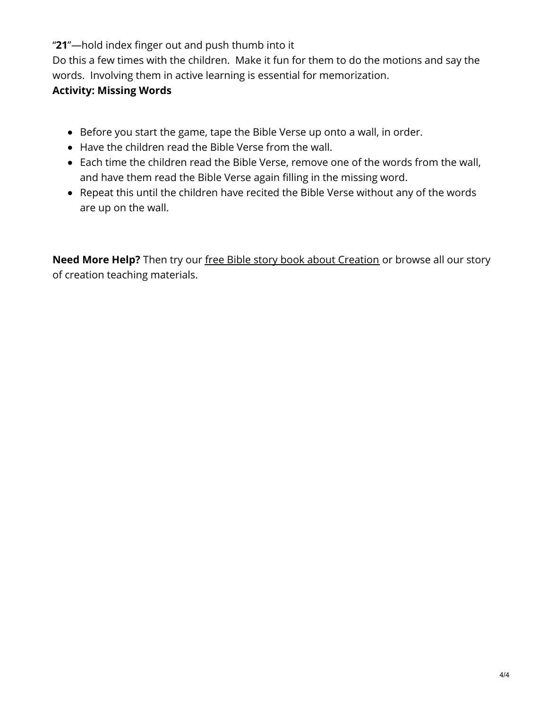"**21**"—hold index finger out and push thumb into it

Do this a few times with the children. Make it fun for them to do the motions and say the words. Involving them in active learning is essential for memorization.

### **Activity: Missing Words**

- Before you start the game, tape the Bible Verse up onto a wall, in order.
- Have the children read the Bible Verse from the wall.
- Each time the children read the Bible Verse, remove one of the words from the wall, and have them read the Bible Verse again filling in the missing word.
- Repeat this until the children have recited the Bible Verse without any of the words are up on the wall.

**Need More Help?** Then try our free Bible story book about [Creation](https://ministry-to-children.com/creation-bible-story/) or browse all our story of creation teaching materials.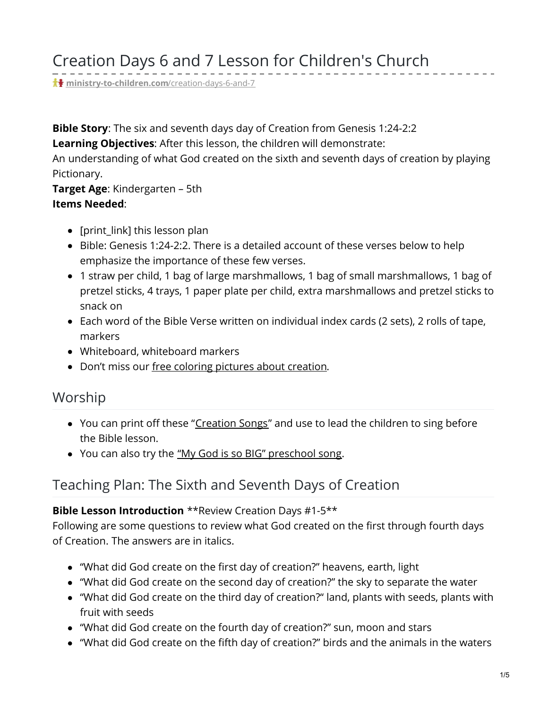# Creation Days 6 and 7 Lesson for Children's Church

 $\frac{1}{2}$  [ministry-to-children.com](https://ministry-to-children.com/creation-days-6-and-7/)/creation-days-6-and-7

**Bible Story**: The six and seventh days day of Creation from Genesis 1:24-2:2

**Learning Objectives**: After this lesson, the children will demonstrate:

An understanding of what God created on the sixth and seventh days of creation by playing Pictionary.

#### **Target Age**: Kindergarten – 5th **Items Needed**:

- $\bullet$  [print\_link] this lesson plan
- Bible: Genesis 1:24-2:2. There is a detailed account of these verses below to help emphasize the importance of these few verses.
- 1 straw per child, 1 bag of large marshmallows, 1 bag of small marshmallows, 1 bag of pretzel sticks, 4 trays, 1 paper plate per child, extra marshmallows and pretzel sticks to snack on
- Each word of the Bible Verse written on individual index cards (2 sets), 2 rolls of tape, markers
- Whiteboard, whiteboard markers
- Don't miss our free [coloring](https://ministry-to-children.com/bible-coloring-pages/creation/) pictures about creation.

# Worship

- You can print off these "[Creation](https://ministry-to-children.com/creation-songs/) Songs" and use to lead the children to sing before the Bible lesson.
- You can also try the "My God is so BIG" [preschool](https://ministry-to-children.com/my-god-is-so-big-song/) song.

# Teaching Plan: The Sixth and Seventh Days of Creation

#### **Bible Lesson Introduction** \*\*Review Creation Days #1-5\*\*

Following are some questions to review what God created on the first through fourth days of Creation. The answers are in italics.

- "What did God create on the first day of creation?" heavens, earth, light
- "What did God create on the second day of creation?" the sky to separate the water
- "What did God create on the third day of creation?" land, plants with seeds, plants with fruit with seeds
- "What did God create on the fourth day of creation?" sun, moon and stars
- "What did God create on the fifth day of creation?" birds and the animals in the waters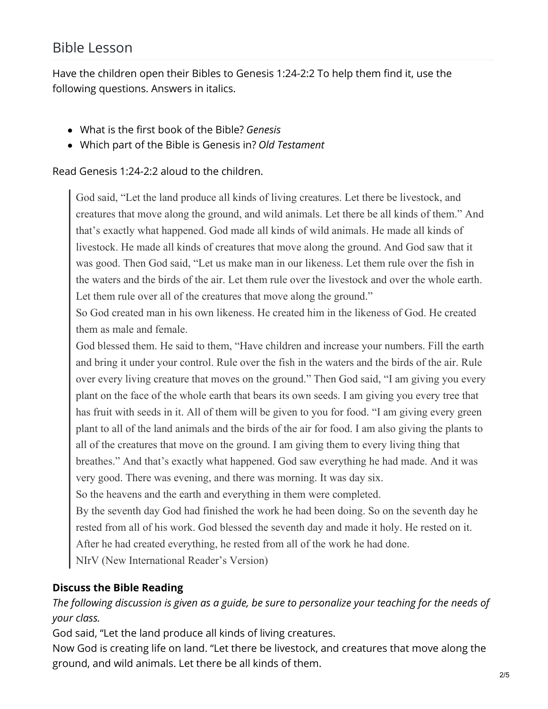# Bible Lesson

Have the children open their Bibles to Genesis 1:24-2:2 To help them find it, use the following questions. Answers in italics.

- What is the first book of the Bible? *Genesis*
- Which part of the Bible is Genesis in? *Old Testament*

#### Read Genesis 1:24-2:2 aloud to the children.

God said, "Let the land produce all kinds of living creatures. Let there be livestock, and creatures that move along the ground, and wild animals. Let there be all kinds of them." And that's exactly what happened. God made all kinds of wild animals. He made all kinds of livestock. He made all kinds of creatures that move along the ground. And God saw that it was good. Then God said, "Let us make man in our likeness. Let them rule over the fish in the waters and the birds of the air. Let them rule over the livestock and over the whole earth. Let them rule over all of the creatures that move along the ground."

So God created man in his own likeness. He created him in the likeness of God. He created them as male and female.

God blessed them. He said to them, "Have children and increase your numbers. Fill the earth and bring it under your control. Rule over the fish in the waters and the birds of the air. Rule over every living creature that moves on the ground." Then God said, "I am giving you every plant on the face of the whole earth that bears its own seeds. I am giving you every tree that has fruit with seeds in it. All of them will be given to you for food. "I am giving every green plant to all of the land animals and the birds of the air for food. I am also giving the plants to all of the creatures that move on the ground. I am giving them to every living thing that breathes." And that's exactly what happened. God saw everything he had made. And it was very good. There was evening, and there was morning. It was day six.

So the heavens and the earth and everything in them were completed.

By the seventh day God had finished the work he had been doing. So on the seventh day he rested from all of his work. God blessed the seventh day and made it holy. He rested on it. After he had created everything, he rested from all of the work he had done.

NIrV (New International Reader's Version)

#### **Discuss the Bible Reading**

The following discussion is given as a guide, be sure to personalize your teaching for the needs of *your class.*

God said, "Let the land produce all kinds of living creatures.

Now God is creating life on land. "Let there be livestock, and creatures that move along the ground, and wild animals. Let there be all kinds of them.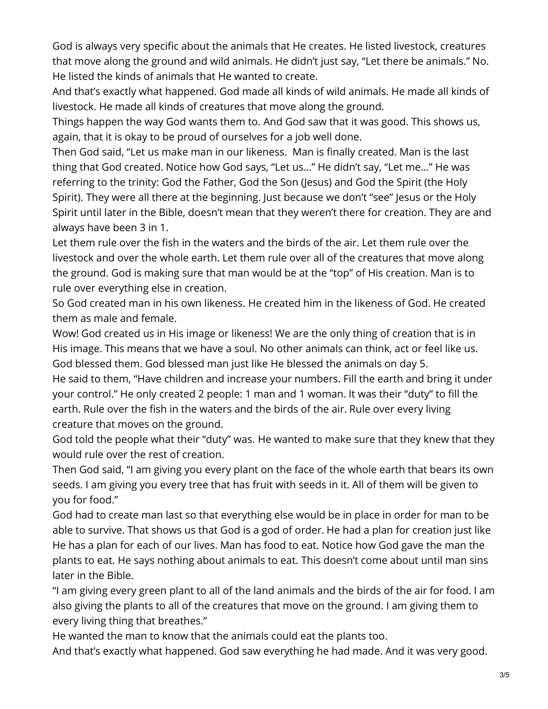God is always very specific about the animals that He creates. He listed livestock, creatures that move along the ground and wild animals. He didn't just say, "Let there be animals." No. He listed the kinds of animals that He wanted to create.

And that's exactly what happened. God made all kinds of wild animals. He made all kinds of livestock. He made all kinds of creatures that move along the ground.

Things happen the way God wants them to. And God saw that it was good. This shows us, again, that it is okay to be proud of ourselves for a job well done.

Then God said, "Let us make man in our likeness. Man is finally created. Man is the last thing that God created. Notice how God says, "Let us…" He didn't say, "Let me…" He was referring to the trinity: God the Father, God the Son (Jesus) and God the Spirit (the Holy Spirit). They were all there at the beginning. Just because we don't "see" Jesus or the Holy Spirit until later in the Bible, doesn't mean that they weren't there for creation. They are and always have been 3 in 1.

Let them rule over the fish in the waters and the birds of the air. Let them rule over the livestock and over the whole earth. Let them rule over all of the creatures that move along the ground. God is making sure that man would be at the "top" of His creation. Man is to rule over everything else in creation.

So God created man in his own likeness. He created him in the likeness of God. He created them as male and female.

Wow! God created us in His image or likeness! We are the only thing of creation that is in His image. This means that we have a soul. No other animals can think, act or feel like us. God blessed them. God blessed man just like He blessed the animals on day 5.

He said to them, "Have children and increase your numbers. Fill the earth and bring it under your control." He only created 2 people: 1 man and 1 woman. It was their "duty" to fill the earth. Rule over the fish in the waters and the birds of the air. Rule over every living creature that moves on the ground.

God told the people what their "duty" was. He wanted to make sure that they knew that they would rule over the rest of creation.

Then God said, "I am giving you every plant on the face of the whole earth that bears its own seeds. I am giving you every tree that has fruit with seeds in it. All of them will be given to you for food."

God had to create man last so that everything else would be in place in order for man to be able to survive. That shows us that God is a god of order. He had a plan for creation just like He has a plan for each of our lives. Man has food to eat. Notice how God gave the man the plants to eat. He says nothing about animals to eat. This doesn't come about until man sins later in the Bible.

"I am giving every green plant to all of the land animals and the birds of the air for food. I am also giving the plants to all of the creatures that move on the ground. I am giving them to every living thing that breathes."

He wanted the man to know that the animals could eat the plants too.

And that's exactly what happened. God saw everything he had made. And it was very good.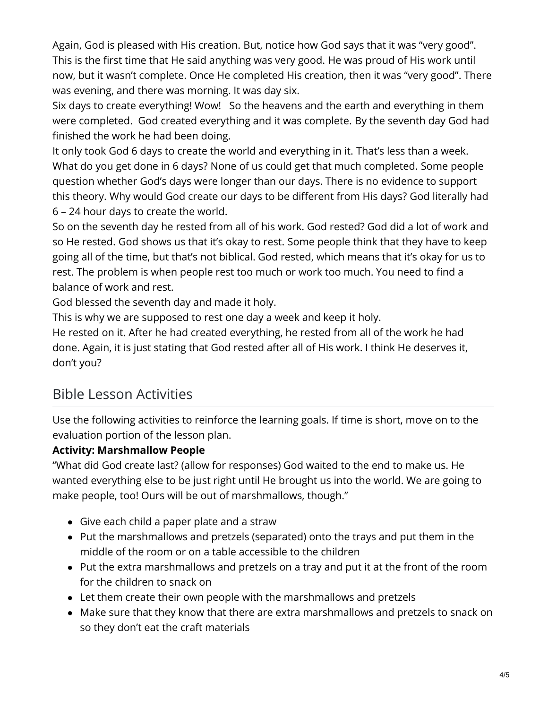Again, God is pleased with His creation. But, notice how God says that it was "very good". This is the first time that He said anything was very good. He was proud of His work until now, but it wasn't complete. Once He completed His creation, then it was "very good". There was evening, and there was morning. It was day six.

Six days to create everything! Wow! So the heavens and the earth and everything in them were completed. God created everything and it was complete. By the seventh day God had finished the work he had been doing.

It only took God 6 days to create the world and everything in it. That's less than a week. What do you get done in 6 days? None of us could get that much completed. Some people question whether God's days were longer than our days. There is no evidence to support this theory. Why would God create our days to be different from His days? God literally had 6 – 24 hour days to create the world.

So on the seventh day he rested from all of his work. God rested? God did a lot of work and so He rested. God shows us that it's okay to rest. Some people think that they have to keep going all of the time, but that's not biblical. God rested, which means that it's okay for us to rest. The problem is when people rest too much or work too much. You need to find a balance of work and rest.

God blessed the seventh day and made it holy.

This is why we are supposed to rest one day a week and keep it holy.

He rested on it. After he had created everything, he rested from all of the work he had done. Again, it is just stating that God rested after all of His work. I think He deserves it, don't you?

# Bible Lesson Activities

Use the following activities to reinforce the learning goals. If time is short, move on to the evaluation portion of the lesson plan.

### **Activity: Marshmallow People**

"What did God create last? (allow for responses) God waited to the end to make us. He wanted everything else to be just right until He brought us into the world. We are going to make people, too! Ours will be out of marshmallows, though."

- Give each child a paper plate and a straw
- $\bullet$  Put the marshmallows and pretzels (separated) onto the trays and put them in the middle of the room or on a table accessible to the children
- Put the extra marshmallows and pretzels on a tray and put it at the front of the room for the children to snack on
- Let them create their own people with the marshmallows and pretzels
- Make sure that they know that there are extra marshmallows and pretzels to snack on so they don't eat the craft materials